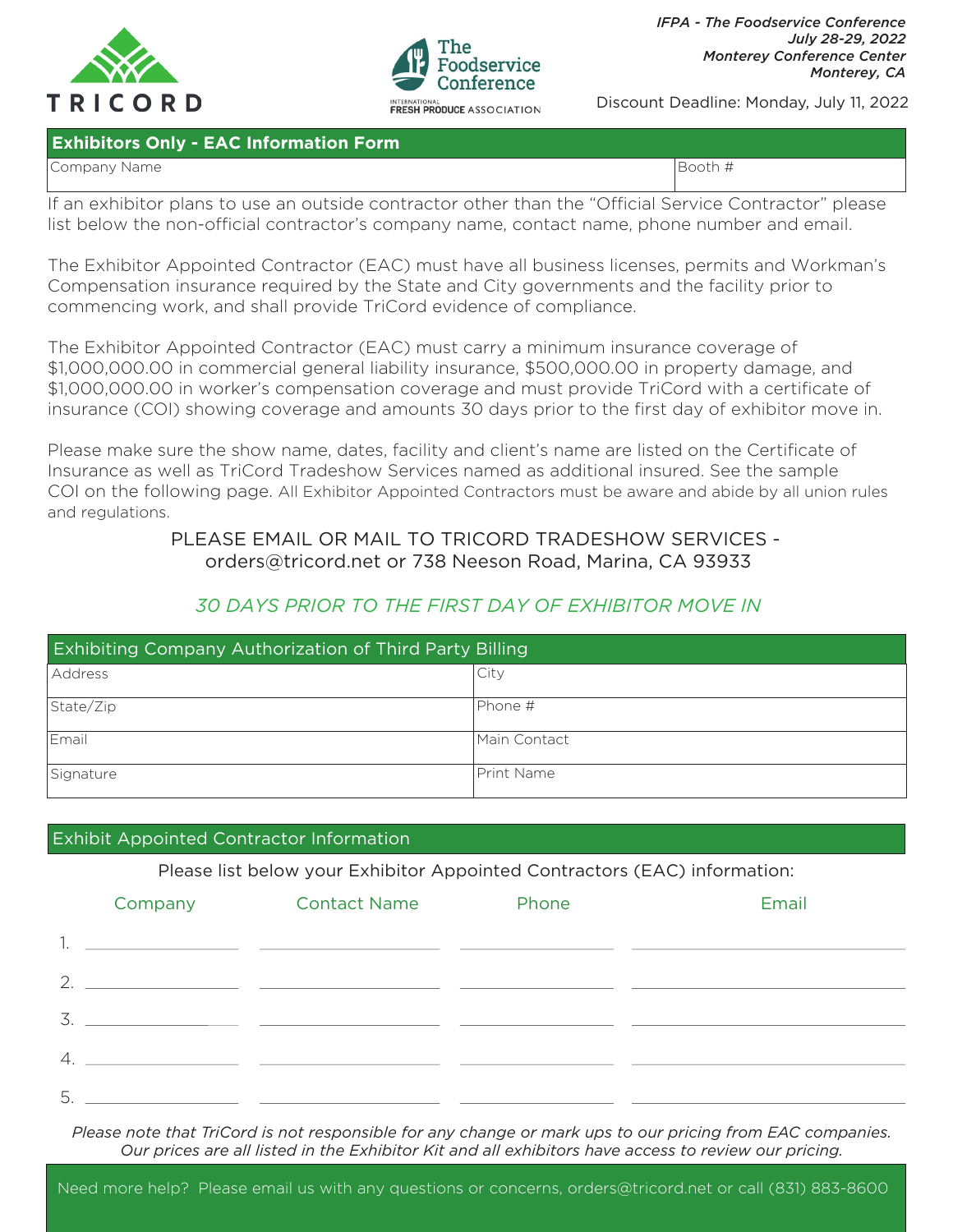



Discount Deadline: Monday, July 11, 2022

### **Exhibitors Only - EAC Information Form**

Company Name Booth # 2009 | Booth # 2009 | Booth # 2009 | Booth # 2009 | Booth # 2009 | Booth # 2009 | Booth # 2009 | Booth # 2009 | Booth # 2009 | Booth # 2009 | Booth # 2009 | Booth # 2009 | Booth # 2009 | Booth # 2009 |

If an exhibitor plans to use an outside contractor other than the "Official Service Contractor" please list below the non-official contractor's company name, contact name, phone number and email.

The Exhibitor Appointed Contractor (EAC) must have all business licenses, permits and Workman's Compensation insurance required by the State and City governments and the facility prior to commencing work, and shall provide TriCord evidence of compliance.

The Exhibitor Appointed Contractor (EAC) must carry a minimum insurance coverage of \$1,000,000.00 in commercial general liability insurance, \$500,000.00 in property damage, and \$1,000,000.00 in worker's compensation coverage and must provide TriCord with a certificate of insurance (COI) showing coverage and amounts 30 days prior to the first day of exhibitor move in.

Please make sure the show name, dates, facility and client's name are listed on the Certificate of Insurance as well as TriCord Tradeshow Services named as additional insured. See the sample COI on the following page. All Exhibitor Appointed Contractors must be aware and abide by all union rules and regulations.

# PLEASE EMAIL OR MAIL TO TRICORD TRADESHOW SERVICES orders@tricord.net or 738 Neeson Road, Marina, CA 93933

# *30 DAYS PRIOR TO THE FIRST DAY OF EXHIBITOR MOVE IN*

| <b>Exhibiting Company Authorization of Third Party Billing</b> |                    |  |  |  |
|----------------------------------------------------------------|--------------------|--|--|--|
| Address                                                        | City               |  |  |  |
| State/Zip                                                      | IPhone #           |  |  |  |
| Email                                                          | lMain Contact      |  |  |  |
| Signature                                                      | <b>IPrint Name</b> |  |  |  |

## Exhibit Appointed Contractor Information

Please list below your Exhibitor Appointed Contractors (EAC) information:

|                       | Company | <b>Contact Name</b>                                                                                                  | Phone | Email |
|-----------------------|---------|----------------------------------------------------------------------------------------------------------------------|-------|-------|
|                       |         | <u> 1990 - Jan James James James James James James James James James James James James James James James James J</u> |       |       |
| 2.                    |         |                                                                                                                      |       |       |
| 3.                    |         |                                                                                                                      |       |       |
| $\mathcal{A}_{\cdot}$ |         |                                                                                                                      |       |       |
| 5                     |         |                                                                                                                      |       |       |

*Please note that TriCord is not responsible for any change or mark ups to our pricing from EAC companies. Our prices are all listed in the Exhibitor Kit and all exhibitors have access to review our pricing.*